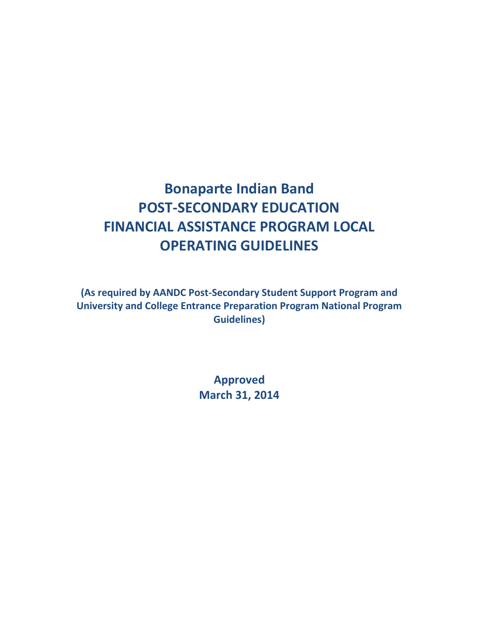# **Bonaparte Indian Band POST-SECONDARY EDUCATION FINANCIAL ASSISTANCE PROGRAM LOCAL OPERATING GUIDELINES**

**(As required by AANDC Post-Secondary Student Support Program and University and College Entrance Preparation Program National Program Guidelines)**

> **Approved March 31, 2014**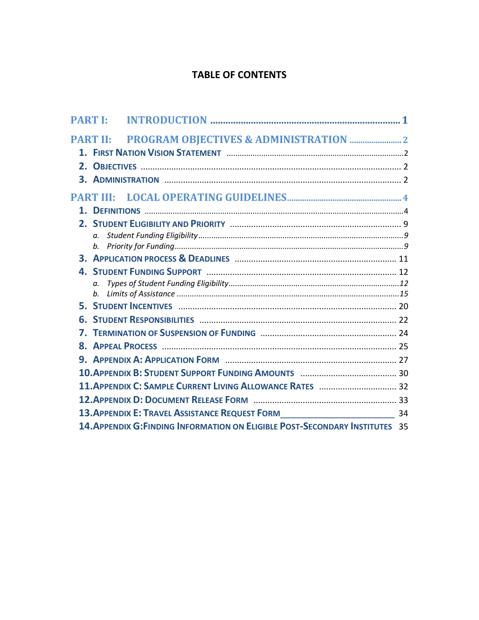# **TABLE OF CONTENTS**

| <b>PART I:</b> |                  |                                                                                      |  |
|----------------|------------------|--------------------------------------------------------------------------------------|--|
|                | <b>PART II:</b>  |                                                                                      |  |
|                |                  |                                                                                      |  |
|                |                  |                                                                                      |  |
|                |                  |                                                                                      |  |
|                | <b>PART III:</b> |                                                                                      |  |
|                |                  |                                                                                      |  |
|                |                  |                                                                                      |  |
|                |                  |                                                                                      |  |
|                |                  |                                                                                      |  |
|                |                  |                                                                                      |  |
|                |                  |                                                                                      |  |
|                | $\alpha$ .       |                                                                                      |  |
|                | b.               |                                                                                      |  |
|                |                  |                                                                                      |  |
|                |                  |                                                                                      |  |
| 7.             |                  |                                                                                      |  |
|                |                  |                                                                                      |  |
|                |                  |                                                                                      |  |
|                |                  |                                                                                      |  |
|                |                  | 11. APPENDIX C: SAMPLE CURRENT LIVING ALLOWANCE RATES  32                            |  |
|                |                  |                                                                                      |  |
|                |                  | 13. APPENDIX E: TRAVEL ASSISTANCE REQUEST FORM___________________________________ 34 |  |
|                |                  | 14. APPENDIX G: FINDING INFORMATION ON ELIGIBLE POST-SECONDARY INSTITUTES 35         |  |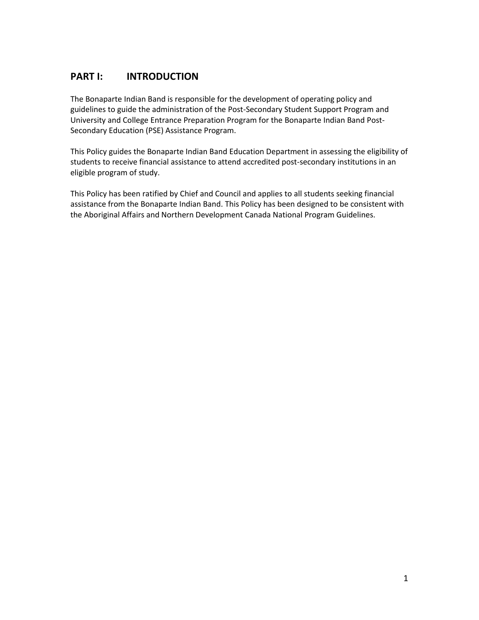# **PART I: INTRODUCTION**

The Bonaparte Indian Band is responsible for the development of operating policy and guidelines to guide the administration of the Post-Secondary Student Support Program and University and College Entrance Preparation Program for the Bonaparte Indian Band Post-Secondary Education (PSE) Assistance Program.

This Policy guides the Bonaparte Indian Band Education Department in assessing the eligibility of students to receive financial assistance to attend accredited post-secondary institutions in an eligible program of study.

This Policy has been ratified by Chief and Council and applies to all students seeking financial assistance from the Bonaparte Indian Band. This Policy has been designed to be consistent with the Aboriginal Affairs and Northern Development Canada National Program Guidelines.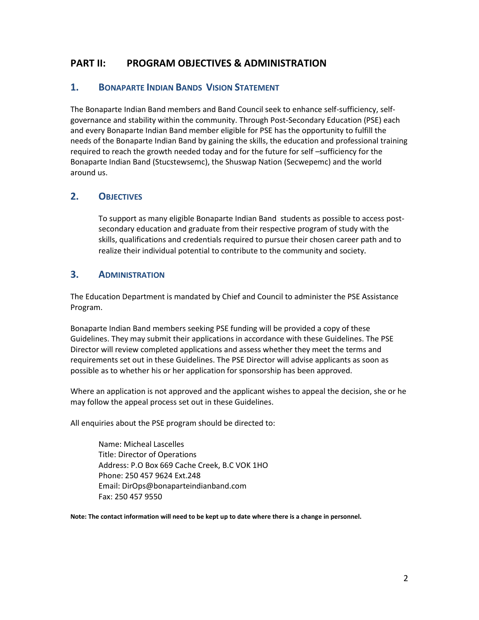# **PART II: PROGRAM OBJECTIVES & ADMINISTRATION**

### **1. BONAPARTE INDIAN BANDS VISION STATEMENT**

The Bonaparte Indian Band members and Band Council seek to enhance self-sufficiency, selfgovernance and stability within the community. Through Post-Secondary Education (PSE) each and every Bonaparte Indian Band member eligible for PSE has the opportunity to fulfill the needs of the Bonaparte Indian Band by gaining the skills, the education and professional training required to reach the growth needed today and for the future for self-sufficiency for the Bonaparte Indian Band (Stucstewsemc), the Shuswap Nation (Secwepemc) and the world around us.

## **2. OBJECTIVES**

To support as many eligible Bonaparte Indian Band students as possible to access postsecondary education and graduate from their respective program of study with the skills, qualifications and credentials required to pursue their chosen career path and to realize their individual potential to contribute to the community and society*.*

#### **3. ADMINISTRATION**

The Education Department is mandated by Chief and Council to administer the PSE Assistance Program.

Bonaparte Indian Band members seeking PSE funding will be provided a copy of these Guidelines. They may submit their applications in accordance with these Guidelines. The PSE Director will review completed applications and assess whether they meet the terms and requirements set out in these Guidelines. The PSE Director will advise applicants as soon as possible as to whether his or her application for sponsorship has been approved.

Where an application is not approved and the applicant wishes to appeal the decision, she or he may follow the appeal process set out in these Guidelines.

All enquiries about the PSE program should be directed to:

Name: Micheal Lascelles Title: Director of Operations Address: P.O Box 669 Cache Creek, B.C VOK 1HO Phone: 250 457 9624 Ext.248 Email: DirOps@bonaparteindianband.com Fax: 250 457 9550

**Note: The contact information will need to be kept up to date where there is a change in personnel.**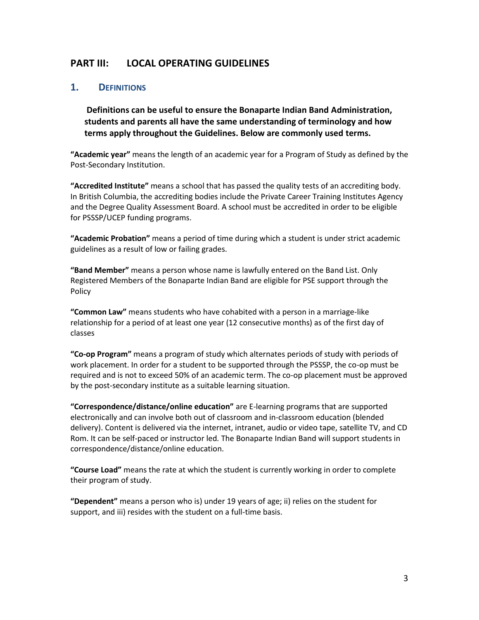## **PART III: LOCAL OPERATING GUIDELINES**

#### **1. DEFINITIONS**

**Definitions can be useful to ensure the Bonaparte Indian Band Administration, students and parents all have the same understanding of terminology and how terms apply throughout the Guidelines. Below are commonly used terms.** 

**"Academic year"** means the length of an academic year for a Program of Study as defined by the Post-Secondary Institution.

**"Accredited Institute"** means a school that has passed the quality tests of an accrediting body. In British Columbia, the accrediting bodies include the Private Career Training Institutes Agency and the Degree Quality Assessment Board. A school must be accredited in order to be eligible for PSSSP/UCEP funding programs.

**"Academic Probation"** means a period of time during which a student is under strict academic guidelines as a result of low or failing grades.

**"Band Member"** means a person whose name is lawfully entered on the Band List. Only Registered Members of the Bonaparte Indian Band are eligible for PSE support through the Policy

**"Common Law"** means students who have cohabited with a person in a marriage-like relationship for a period of at least one year (12 consecutive months) as of the first day of classes

**"Co-op Program"** means a program of study which alternates periods of study with periods of work placement. In order for a student to be supported through the PSSSP, the co-op must be required and is not to exceed 50% of an academic term. The co-op placement must be approved by the post-secondary institute as a suitable learning situation.

**"Correspondence/distance/online education"** are E-learning programs that are supported electronically and can involve both out of classroom and in-classroom education (blended delivery). Content is delivered via the internet, intranet, audio or video tape, satellite TV, and CD Rom. It can be self-paced or instructor led*.* The Bonaparte Indian Band will support students in correspondence/distance/online education.

**"Course Load"** means the rate at which the student is currently working in order to complete their program of study.

**"Dependent"** means a person who is) under 19 years of age; ii) relies on the student for support, and iii) resides with the student on a full-time basis.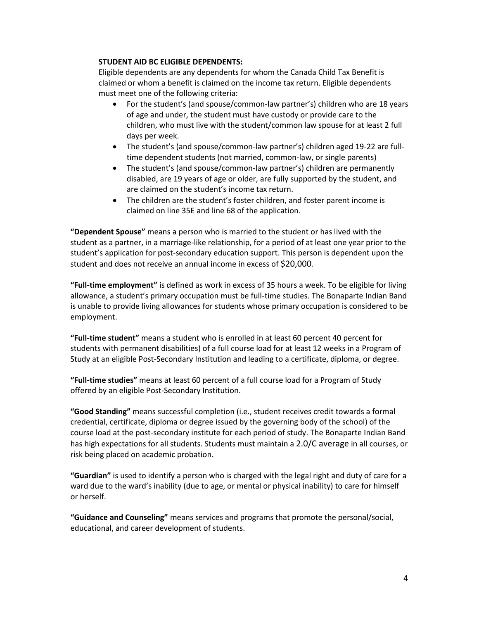#### **STUDENT AID BC ELIGIBLE DEPENDENTS:**

Eligible dependents are any dependents for whom the Canada Child Tax Benefit is claimed or whom a benefit is claimed on the income tax return. Eligible dependents must meet one of the following criteria:

- For the student's (and spouse/common-law partner's) children who are 18 years of age and under, the student must have custody or provide care to the children, who must live with the student/common law spouse for at least 2 full days per week.
- The student's (and spouse/common-law partner's) children aged 19-22 are fulltime dependent students (not married, common-law, or single parents)
- The student's (and spouse/common-law partner's) children are permanently disabled, are 19 years of age or older, are fully supported by the student, and are claimed on the student's income tax return.
- The children are the student's foster children, and foster parent income is claimed on line 35E and line 68 of the application.

**"Dependent Spouse"** means a person who is married to the student or has lived with the student as a partner, in a marriage-like relationship, for a period of at least one year prior to the student's application for post-secondary education support. This person is dependent upon the student and does not receive an annual income in excess of \$20,000*.*

**"Full-time employment"** is defined as work in excess of 35 hours a week. To be eligible for living allowance, a student's primary occupation must be full-time studies. The Bonaparte Indian Band is unable to provide living allowances for students whose primary occupation is considered to be employment.

**"Full-time student"** means a student who is enrolled in at least 60 percent 40 percent for students with permanent disabilities) of a full course load for at least 12 weeks in a Program of Study at an eligible Post-Secondary Institution and leading to a certificate, diploma, or degree.

**"Full-time studies"** means at least 60 percent of a full course load for a Program of Study offered by an eligible Post-Secondary Institution.

**"Good Standing"** means successful completion (i.e., student receives credit towards a formal credential, certificate, diploma or degree issued by the governing body of the school) of the course load at the post-secondary institute for each period of study. The Bonaparte Indian Band has high expectations for all students. Students must maintain a 2.0/C average in all courses, or risk being placed on academic probation.

**"Guardian"** is used to identify a person who is charged with the legal right and duty of care for a ward due to the ward's inability (due to age, or mental or physical inability) to care for himself or herself.

**"Guidance and Counseling"** means services and programs that promote the personal/social, educational, and career development of students.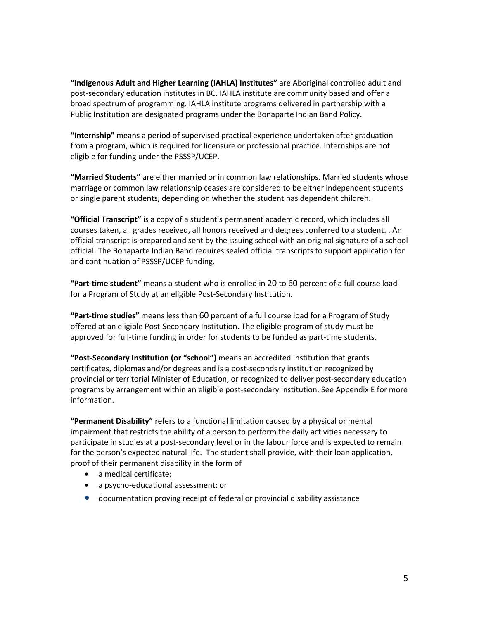**"Indigenous Adult and Higher Learning (IAHLA) Institutes"** are Aboriginal controlled adult and post-secondary education institutes in BC. IAHLA institute are community based and offer a broad spectrum of programming. IAHLA institute programs delivered in partnership with a Public Institution are designated programs under the Bonaparte Indian Band Policy.

**"Internship"** means a period of supervised practical experience undertaken after graduation from a program, which is required for licensure or professional practice. Internships are not eligible for funding under the PSSSP/UCEP.

**"Married Students"** are either married or in common law relationships. Married students whose marriage or common law relationship ceases are considered to be either independent students or single parent students, depending on whether the student has dependent children.

**"Official Transcript"** is a copy of a student's permanent academic record, which includes all courses taken, all grades received, all honors received and degrees conferred to a student. . An official transcript is prepared and sent by the issuing school with an original signature of a school official. The Bonaparte Indian Band requires sealed official transcripts to support application for and continuation of PSSSP/UCEP funding.

**"Part-time student"** means a student who is enrolled in 20 to 60 percent of a full course load for a Program of Study at an eligible Post-Secondary Institution.

**"Part-time studies"** means less than 60 percent of a full course load for a Program of Study offered at an eligible Post-Secondary Institution. The eligible program of study must be approved for full-time funding in order for students to be funded as part-time students.

**"Post-Secondary Institution (or "school")** means an accredited Institution that grants certificates, diplomas and/or degrees and is a post-secondary institution recognized by provincial or territorial Minister of Education, or recognized to deliver post-secondary education programs by arrangement within an eligible post-secondary institution. See Appendix E for more information.

**"Permanent Disability"** refers to a functional limitation caused by a physical or mental impairment that restricts the ability of a person to perform the daily activities necessary to participate in studies at a post-secondary level or in the labour force and is expected to remain for the person's expected natural life. The student shall provide, with their loan application, proof of their permanent disability in the form of

- a medical certificate;
- a psycho-educational assessment; or
- documentation proving receipt of federal or provincial disability assistance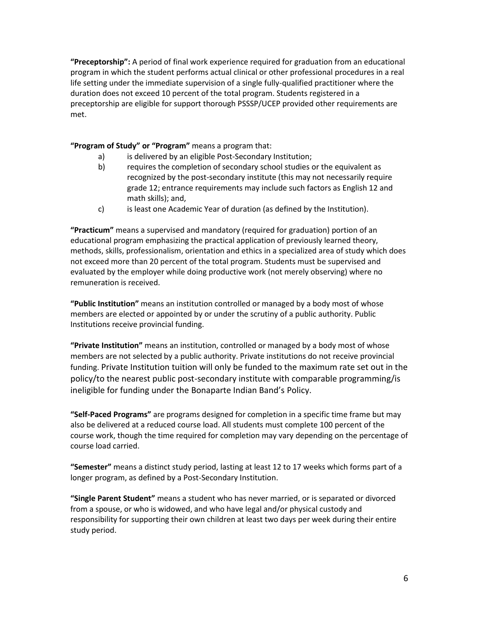**"Preceptorship":** A period of final work experience required for graduation from an educational program in which the student performs actual clinical or other professional procedures in a real life setting under the immediate supervision of a single fully-qualified practitioner where the duration does not exceed 10 percent of the total program. Students registered in a preceptorship are eligible for support thorough PSSSP/UCEP provided other requirements are met.

**"Program of Study" or "Program"** means a program that:

- a) is delivered by an eligible Post-Secondary Institution;
- b) requires the completion of secondary school studies or the equivalent as recognized by the post-secondary institute (this may not necessarily require grade 12; entrance requirements may include such factors as English 12 and math skills); and,
- c) is least one Academic Year of duration (as defined by the Institution).

**"Practicum"** means a supervised and mandatory (required for graduation) portion of an educational program emphasizing the practical application of previously learned theory, methods, skills, professionalism, orientation and ethics in a specialized area of study which does not exceed more than 20 percent of the total program. Students must be supervised and evaluated by the employer while doing productive work (not merely observing) where no remuneration is received.

**"Public Institution"** means an institution controlled or managed by a body most of whose members are elected or appointed by or under the scrutiny of a public authority. Public Institutions receive provincial funding.

**"Private Institution"** means an institution, controlled or managed by a body most of whose members are not selected by a public authority. Private institutions do not receive provincial funding. Private Institution tuition will only be funded to the maximum rate set out in the policy/to the nearest public post-secondary institute with comparable programming/is ineligible for funding under the Bonaparte Indian Band's Policy.

**"Self-Paced Programs"** are programs designed for completion in a specific time frame but may also be delivered at a reduced course load. All students must complete 100 percent of the course work, though the time required for completion may vary depending on the percentage of course load carried.

**"Semester"** means a distinct study period, lasting at least 12 to 17 weeks which forms part of a longer program, as defined by a Post-Secondary Institution.

**"Single Parent Student"** means a student who has never married, or is separated or divorced from a spouse, or who is widowed, and who have legal and/or physical custody and responsibility for supporting their own children at least two days per week during their entire study period.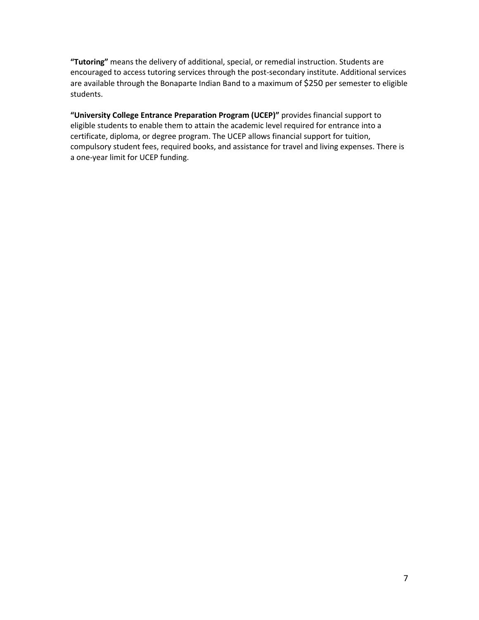**"Tutoring"** means the delivery of additional, special, or remedial instruction. Students are encouraged to access tutoring services through the post-secondary institute. Additional services are available through the Bonaparte Indian Band to a maximum of \$250 per semester to eligible students.

**"University College Entrance Preparation Program (UCEP)"** provides financial support to eligible students to enable them to attain the academic level required for entrance into a certificate, diploma, or degree program. The UCEP allows financial support for tuition, compulsory student fees, required books, and assistance for travel and living expenses. There is a one-year limit for UCEP funding.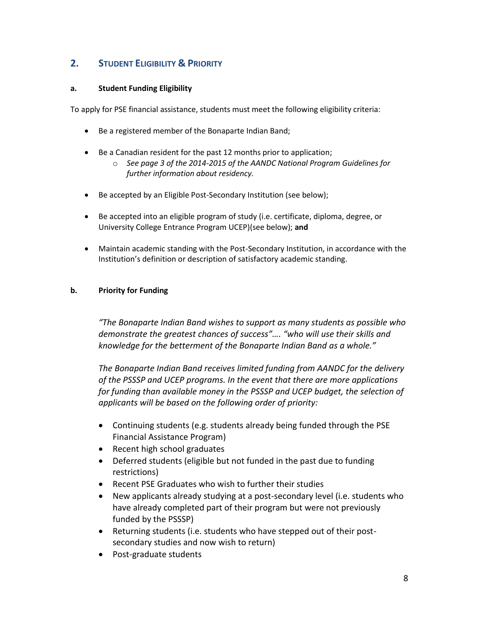# **2. STUDENT ELIGIBILITY & PRIORITY**

#### **a. Student Funding Eligibility**

To apply for PSE financial assistance, students must meet the following eligibility criteria:

- Be a registered member of the Bonaparte Indian Band;
- Be a Canadian resident for the past 12 months prior to application;
	- o *See page 3 of the 2014-2015 of the AANDC National Program Guidelines for further information about residency.*
- Be accepted by an Eligible Post-Secondary Institution (see below);
- Be accepted into an eligible program of study (i.e. certificate, diploma, degree, or University College Entrance Program UCEP)(see below); **and**
- Maintain academic standing with the Post-Secondary Institution, in accordance with the Institution's definition or description of satisfactory academic standing.

#### **b. Priority for Funding**

*"The Bonaparte Indian Band wishes to support as many students as possible who demonstrate the greatest chances of success"…. "who will use their skills and knowledge for the betterment of the Bonaparte Indian Band as a whole."*

*The Bonaparte Indian Band receives limited funding from AANDC for the delivery of the PSSSP and UCEP programs. In the event that there are more applications for funding than available money in the PSSSP and UCEP budget, the selection of applicants will be based on the following order of priority:*

- Continuing students (e.g. students already being funded through the PSE Financial Assistance Program)
- Recent high school graduates
- Deferred students (eligible but not funded in the past due to funding restrictions)
- Recent PSE Graduates who wish to further their studies
- New applicants already studying at a post-secondary level (i.e. students who have already completed part of their program but were not previously funded by the PSSSP)
- Returning students (i.e. students who have stepped out of their postsecondary studies and now wish to return)
- Post-graduate students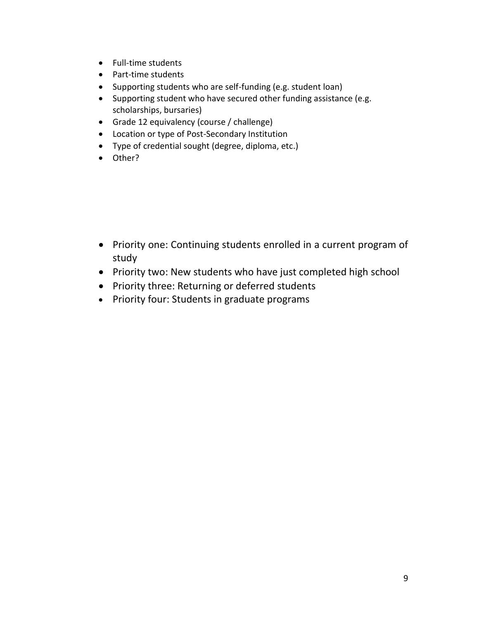- Full-time students
- Part-time students
- Supporting students who are self-funding (e.g. student loan)
- Supporting student who have secured other funding assistance (e.g. scholarships, bursaries)
- Grade 12 equivalency (course / challenge)
- Location or type of Post-Secondary Institution
- Type of credential sought (degree, diploma, etc.)
- Other?

- Priority one: Continuing students enrolled in a current program of study
- Priority two: New students who have just completed high school
- Priority three: Returning or deferred students
- Priority four: Students in graduate programs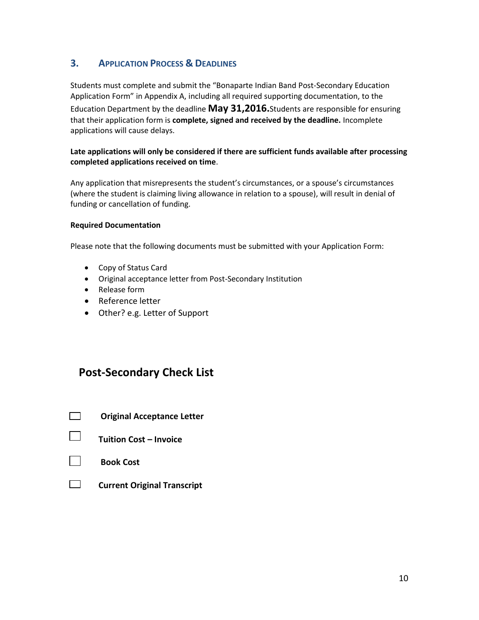# **3. APPLICATION PROCESS & DEADLINES**

Students must complete and submit the "Bonaparte Indian Band Post-Secondary Education Application Form" in Appendix A, including all required supporting documentation, to the Education Department by the deadline **May 31,2016.**Students are responsible for ensuring that their application form is **complete, signed and received by the deadline.** Incomplete applications will cause delays.

#### **Late applications will only be considered if there are sufficient funds available after processing completed applications received on time**.

Any application that misrepresents the student's circumstances, or a spouse's circumstances (where the student is claiming living allowance in relation to a spouse), will result in denial of funding or cancellation of funding.

#### **Required Documentation**

Please note that the following documents must be submitted with your Application Form:

- Copy of Status Card
- Original acceptance letter from Post-Secondary Institution
- Release form
- Reference letter
- Other? e.g. Letter of Support

# **Post-Secondary Check List**

- **Original Acceptance Letter**
- **Tuition Cost – Invoice**

 **Current Original Transcript**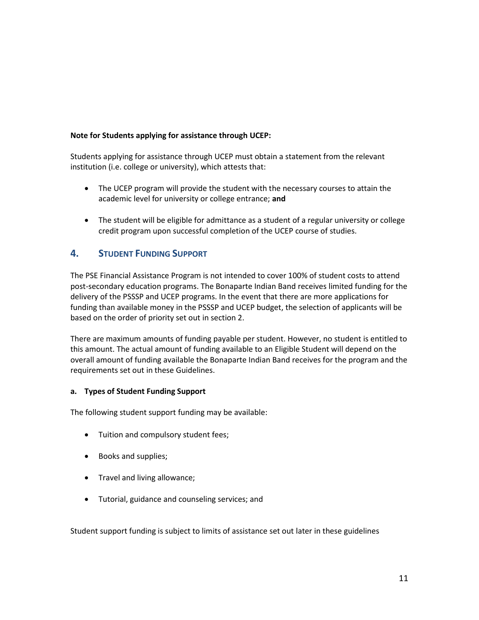#### **Note for Students applying for assistance through UCEP:**

Students applying for assistance through UCEP must obtain a statement from the relevant institution (i.e. college or university), which attests that:

- The UCEP program will provide the student with the necessary courses to attain the academic level for university or college entrance; **and**
- The student will be eligible for admittance as a student of a regular university or college credit program upon successful completion of the UCEP course of studies.

#### **4. STUDENT FUNDING SUPPORT**

The PSE Financial Assistance Program is not intended to cover 100% of student costs to attend post-secondary education programs. The Bonaparte Indian Band receives limited funding for the delivery of the PSSSP and UCEP programs. In the event that there are more applications for funding than available money in the PSSSP and UCEP budget, the selection of applicants will be based on the order of priority set out in section 2.

There are maximum amounts of funding payable per student. However, no student is entitled to this amount. The actual amount of funding available to an Eligible Student will depend on the overall amount of funding available the Bonaparte Indian Band receives for the program and the requirements set out in these Guidelines.

#### **a. Types of Student Funding Support**

The following student support funding may be available:

- Tuition and compulsory student fees;
- Books and supplies;
- Travel and living allowance;
- Tutorial, guidance and counseling services; and

Student support funding is subject to limits of assistance set out later in these guidelines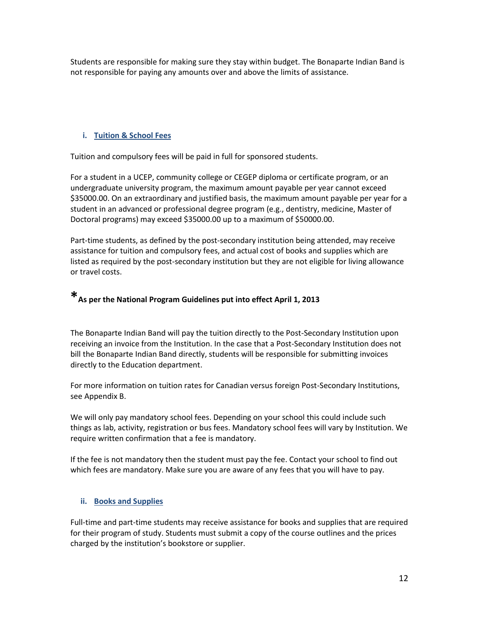Students are responsible for making sure they stay within budget. The Bonaparte Indian Band is not responsible for paying any amounts over and above the limits of assistance.

#### **i. Tuition & School Fees**

Tuition and compulsory fees will be paid in full for sponsored students.

For a student in a UCEP, community college or CEGEP diploma or certificate program, or an undergraduate university program, the maximum amount payable per year cannot exceed \$35000.00. On an extraordinary and justified basis, the maximum amount payable per year for a student in an advanced or professional degree program (e.g., dentistry, medicine, Master of Doctoral programs) may exceed \$35000.00 up to a maximum of \$50000.00.

Part-time students, as defined by the post-secondary institution being attended, may receive assistance for tuition and compulsory fees, and actual cost of books and supplies which are listed as required by the post-secondary institution but they are not eligible for living allowance or travel costs.

# **\*As per the National Program Guidelines put into effect April 1, <sup>2013</sup>**

The Bonaparte Indian Band will pay the tuition directly to the Post-Secondary Institution upon receiving an invoice from the Institution. In the case that a Post-Secondary Institution does not bill the Bonaparte Indian Band directly, students will be responsible for submitting invoices directly to the Education department.

For more information on tuition rates for Canadian versus foreign Post-Secondary Institutions, see Appendix B.

We will only pay mandatory school fees. Depending on your school this could include such things as lab, activity, registration or bus fees. Mandatory school fees will vary by Institution. We require written confirmation that a fee is mandatory.

If the fee is not mandatory then the student must pay the fee. Contact your school to find out which fees are mandatory. Make sure you are aware of any fees that you will have to pay.

#### **ii. Books and Supplies**

Full-time and part-time students may receive assistance for books and supplies that are required for their program of study. Students must submit a copy of the course outlines and the prices charged by the institution's bookstore or supplier.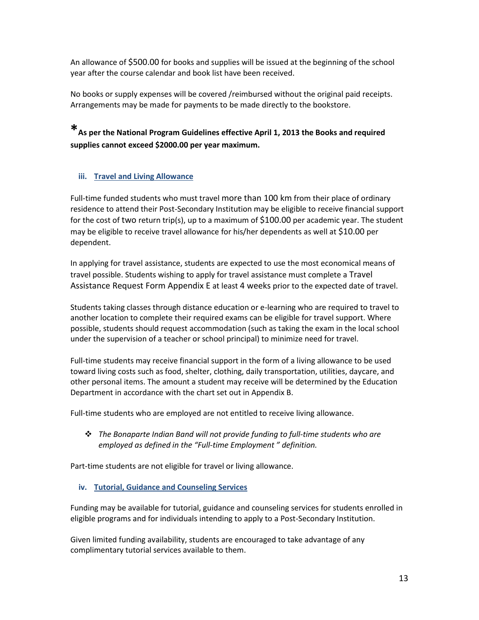An allowance of \$500.00 for books and supplies will be issued at the beginning of the school year after the course calendar and book list have been received.

No books or supply expenses will be covered /reimbursed without the original paid receipts. Arrangements may be made for payments to be made directly to the bookstore.

**\*As per the National Program Guidelines effective April 1, 2013 the Books and required supplies cannot exceed \$2000.00 per year maximum.**

#### **iii. Travel and Living Allowance**

Full-time funded students who must travel more than 100 km from their place of ordinary residence to attend their Post-Secondary Institution may be eligible to receive financial support for the cost of two return trip(s), up to a maximum of \$100.00 per academic year. The student may be eligible to receive travel allowance for his/her dependents as well at \$10.00 per dependent.

In applying for travel assistance, students are expected to use the most economical means of travel possible. Students wishing to apply for travel assistance must complete a Travel Assistance Request Form Appendix E at least 4 weeks prior to the expected date of travel.

Students taking classes through distance education or e-learning who are required to travel to another location to complete their required exams can be eligible for travel support. Where possible, students should request accommodation (such as taking the exam in the local school under the supervision of a teacher or school principal) to minimize need for travel.

Full-time students may receive financial support in the form of a living allowance to be used toward living costs such as food, shelter, clothing, daily transportation, utilities, daycare, and other personal items. The amount a student may receive will be determined by the Education Department in accordance with the chart set out in Appendix B.

Full-time students who are employed are not entitled to receive living allowance.

❖ *The Bonaparte Indian Band will not provide funding to full-time students who are employed as defined in the "Full-time Employment " definition.*

Part-time students are not eligible for travel or living allowance.

#### **iv. Tutorial, Guidance and Counseling Services**

Funding may be available for tutorial, guidance and counseling services for students enrolled in eligible programs and for individuals intending to apply to a Post-Secondary Institution.

Given limited funding availability, students are encouraged to take advantage of any complimentary tutorial services available to them.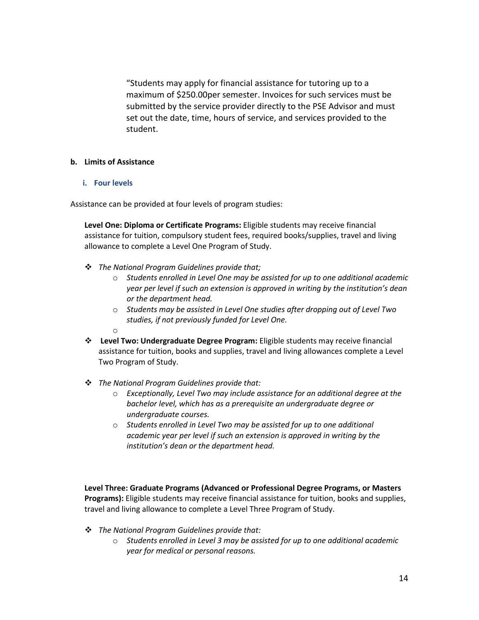"Students may apply for financial assistance for tutoring up to a maximum of \$250.00per semester. Invoices for such services must be submitted by the service provider directly to the PSE Advisor and must set out the date, time, hours of service, and services provided to the student.

#### **b. Limits of Assistance**

#### **i. Four levels**

Assistance can be provided at four levels of program studies:

**Level One: Diploma or Certificate Programs:** Eligible students may receive financial assistance for tuition, compulsory student fees, required books/supplies, travel and living allowance to complete a Level One Program of Study.

- ❖ *The National Program Guidelines provide that;*
	- o *Students enrolled in Level One may be assisted for up to one additional academic year per level if such an extension is approved in writing by the institution's dean or the department head.*
	- o *Students may be assisted in Level One studies after dropping out of Level Two studies, if not previously funded for Level One.*
	- o
- ❖ **Level Two: Undergraduate Degree Program:** Eligible students may receive financial assistance for tuition, books and supplies, travel and living allowances complete a Level Two Program of Study.
- ❖ *The National Program Guidelines provide that:*
	- o *Exceptionally, Level Two may include assistance for an additional degree at the bachelor level, which has as a prerequisite an undergraduate degree or undergraduate courses.*
	- o *Students enrolled in Level Two may be assisted for up to one additional academic year per level if such an extension is approved in writing by the institution's dean or the department head.*

**Level Three: Graduate Programs (Advanced or Professional Degree Programs, or Masters Programs):** Eligible students may receive financial assistance for tuition, books and supplies, travel and living allowance to complete a Level Three Program of Study.

- ❖ *The National Program Guidelines provide that:*
	- o *Students enrolled in Level 3 may be assisted for up to one additional academic year for medical or personal reasons.*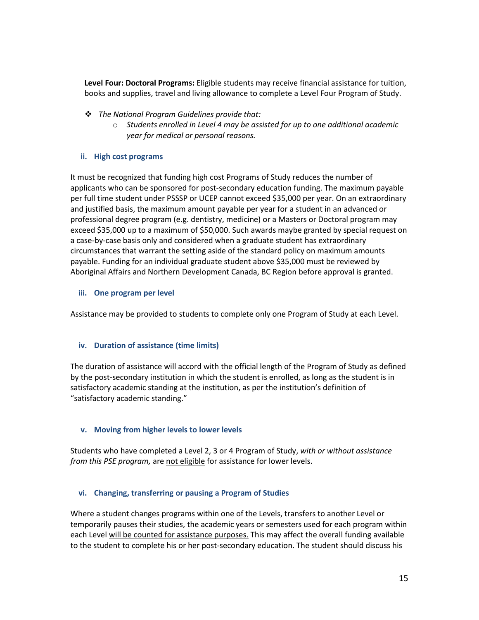**Level Four: Doctoral Programs:** Eligible students may receive financial assistance for tuition, books and supplies, travel and living allowance to complete a Level Four Program of Study.

- ❖ *The National Program Guidelines provide that:*
	- o *Students enrolled in Level 4 may be assisted for up to one additional academic year for medical or personal reasons.*

#### **ii. High cost programs**

It must be recognized that funding high cost Programs of Study reduces the number of applicants who can be sponsored for post-secondary education funding. The maximum payable per full time student under PSSSP or UCEP cannot exceed \$35,000 per year. On an extraordinary and justified basis, the maximum amount payable per year for a student in an advanced or professional degree program (e.g. dentistry, medicine) or a Masters or Doctoral program may exceed \$35,000 up to a maximum of \$50,000. Such awards maybe granted by special request on a case-by-case basis only and considered when a graduate student has extraordinary circumstances that warrant the setting aside of the standard policy on maximum amounts payable. Funding for an individual graduate student above \$35,000 must be reviewed by Aboriginal Affairs and Northern Development Canada, BC Region before approval is granted.

#### **iii. One program per level**

Assistance may be provided to students to complete only one Program of Study at each Level.

#### **iv. Duration of assistance (time limits)**

The duration of assistance will accord with the official length of the Program of Study as defined by the post-secondary institution in which the student is enrolled, as long as the student is in satisfactory academic standing at the institution, as per the institution's definition of "satisfactory academic standing."

#### **v. Moving from higher levels to lower levels**

Students who have completed a Level 2, 3 or 4 Program of Study, *with or without assistance from this PSE program,* are not eligible for assistance for lower levels.

#### **vi. Changing, transferring or pausing a Program of Studies**

Where a student changes programs within one of the Levels, transfers to another Level or temporarily pauses their studies, the academic years or semesters used for each program within each Level will be counted for assistance purposes. This may affect the overall funding available to the student to complete his or her post-secondary education. The student should discuss his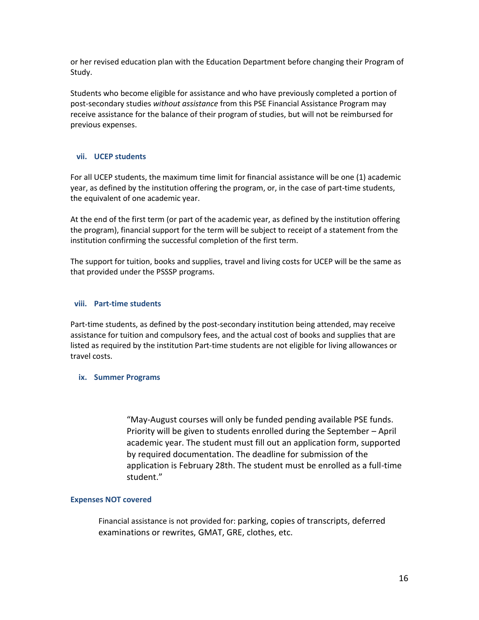or her revised education plan with the Education Department before changing their Program of Study.

Students who become eligible for assistance and who have previously completed a portion of post-secondary studies *without assistance* from this PSE Financial Assistance Program may receive assistance for the balance of their program of studies, but will not be reimbursed for previous expenses.

#### **vii. UCEP students**

For all UCEP students, the maximum time limit for financial assistance will be one (1) academic year, as defined by the institution offering the program, or, in the case of part-time students, the equivalent of one academic year.

At the end of the first term (or part of the academic year, as defined by the institution offering the program), financial support for the term will be subject to receipt of a statement from the institution confirming the successful completion of the first term.

The support for tuition, books and supplies, travel and living costs for UCEP will be the same as that provided under the PSSSP programs.

#### **viii. Part-time students**

Part-time students, as defined by the post-secondary institution being attended, may receive assistance for tuition and compulsory fees, and the actual cost of books and supplies that are listed as required by the institution Part-time students are not eligible for living allowances or travel costs.

#### **ix. Summer Programs**

"May-August courses will only be funded pending available PSE funds. Priority will be given to students enrolled during the September – April academic year. The student must fill out an application form, supported by required documentation. The deadline for submission of the application is February 28th. The student must be enrolled as a full-time student."

#### **Expenses NOT covered**

Financial assistance is not provided for: parking, copies of transcripts, deferred examinations or rewrites, GMAT, GRE, clothes, etc.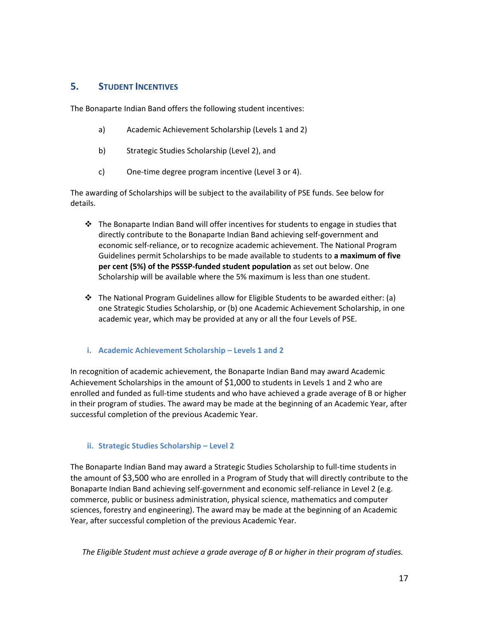#### **5. STUDENT INCENTIVES**

The Bonaparte Indian Band offers the following student incentives:

- a) Academic Achievement Scholarship (Levels 1 and 2)
- b) Strategic Studies Scholarship (Level 2), and
- c) One-time degree program incentive (Level 3 or 4).

The awarding of Scholarships will be subject to the availability of PSE funds. See below for details.

- $\div$  The Bonaparte Indian Band will offer incentives for students to engage in studies that directly contribute to the Bonaparte Indian Band achieving self-government and economic self-reliance, or to recognize academic achievement. The National Program Guidelines permit Scholarships to be made available to students to **a maximum of five per cent (5%) of the PSSSP-funded student population** as set out below. One Scholarship will be available where the 5% maximum is less than one student.
- $\div$  The National Program Guidelines allow for Eligible Students to be awarded either: (a) one Strategic Studies Scholarship, or (b) one Academic Achievement Scholarship, in one academic year, which may be provided at any or all the four Levels of PSE.
- **i. Academic Achievement Scholarship – Levels 1 and 2**

In recognition of academic achievement, the Bonaparte Indian Band may award Academic Achievement Scholarships in the amount of \$1,000 to students in Levels 1 and 2 who are enrolled and funded as full-time students and who have achieved a grade average of B or higher in their program of studies. The award may be made at the beginning of an Academic Year, after successful completion of the previous Academic Year.

#### **ii. Strategic Studies Scholarship – Level 2**

The Bonaparte Indian Band may award a Strategic Studies Scholarship to full-time students in the amount of \$3,500 who are enrolled in a Program of Study that will directly contribute to the Bonaparte Indian Band achieving self-government and economic self-reliance in Level 2 (e.g. commerce, public or business administration, physical science, mathematics and computer sciences, forestry and engineering). The award may be made at the beginning of an Academic Year, after successful completion of the previous Academic Year.

 *The Eligible Student must achieve a grade average of B or higher in their program of studies.*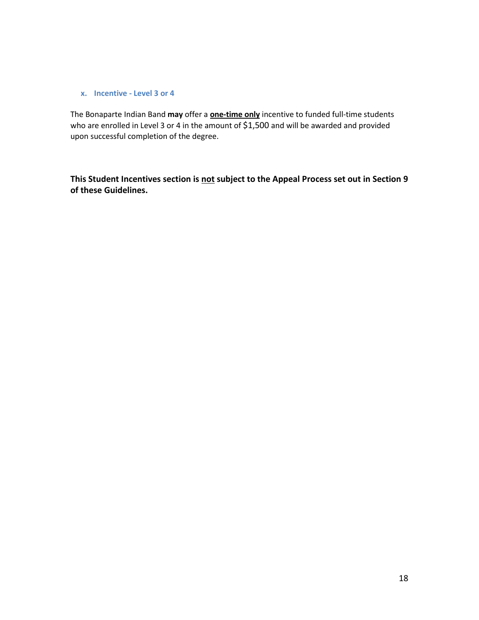#### **x. Incentive - Level 3 or 4**

The Bonaparte Indian Band **may** offer a **one-time only** incentive to funded full-time students who are enrolled in Level 3 or 4 in the amount of \$1,500 and will be awarded and provided upon successful completion of the degree.

**This Student Incentives section is not subject to the Appeal Process set out in Section 9 of these Guidelines.**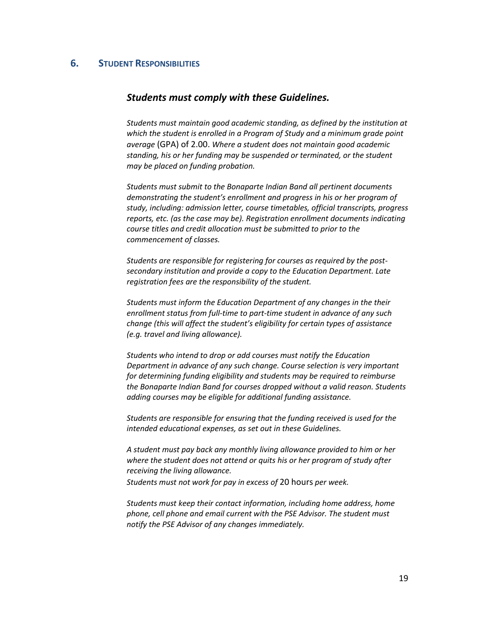#### **6. STUDENT RESPONSIBILITIES**

#### *Students must comply with these Guidelines.*

*Students must maintain good academic standing, as defined by the institution at which the student is enrolled in a Program of Study and a minimum grade point average* (GPA) of 2.00. *Where a student does not maintain good academic standing, his or her funding may be suspended or terminated, or the student may be placed on funding probation.*

*Students must submit to the Bonaparte Indian Band all pertinent documents demonstrating the student's enrollment and progress in his or her program of study, including: admission letter, course timetables, official transcripts, progress reports, etc. (as the case may be). Registration enrollment documents indicating course titles and credit allocation must be submitted to prior to the commencement of classes.*

*Students are responsible for registering for courses as required by the postsecondary institution and provide a copy to the Education Department. Late registration fees are the responsibility of the student.*

*Students must inform the Education Department of any changes in the their enrollment status from full-time to part-time student in advance of any such change (this will affect the student's eligibility for certain types of assistance (e.g. travel and living allowance).*

*Students who intend to drop or add courses must notify the Education Department in advance of any such change. Course selection is very important for determining funding eligibility and students may be required to reimburse the Bonaparte Indian Band for courses dropped without a valid reason. Students adding courses may be eligible for additional funding assistance.* 

*Students are responsible for ensuring that the funding received is used for the intended educational expenses, as set out in these Guidelines.* 

*A student must pay back any monthly living allowance provided to him or her where the student does not attend or quits his or her program of study after receiving the living allowance.* 

*Students must not work for pay in excess of* 20 hours *per week.* 

*Students must keep their contact information, including home address, home phone, cell phone and email current with the PSE Advisor. The student must notify the PSE Advisor of any changes immediately.*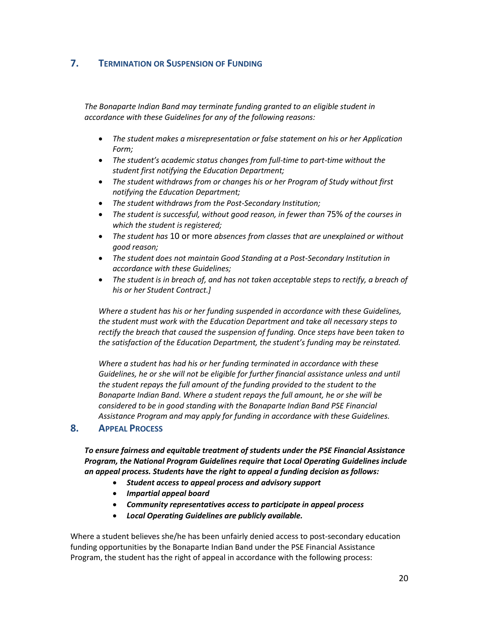## **7. TERMINATION OR SUSPENSION OF FUNDING**

*The Bonaparte Indian Band may terminate funding granted to an eligible student in accordance with these Guidelines for any of the following reasons:*

- *The student makes a misrepresentation or false statement on his or her Application Form;*
- *The student's academic status changes from full-time to part-time without the student first notifying the Education Department;*
- *The student withdraws from or changes his or her Program of Study without first notifying the Education Department;*
- *The student withdraws from the Post-Secondary Institution;*
- *The student is successful, without good reason, in fewer than* 75% *of the courses in which the student is registered;*
- *The student has* 10 or more *absences from classes that are unexplained or without good reason;*
- *The student does not maintain Good Standing at a Post-Secondary Institution in accordance with these Guidelines;*
- *The student is in breach of, and has not taken acceptable steps to rectify, a breach of his or her Student Contract.]*

*Where a student has his or her funding suspended in accordance with these Guidelines, the student must work with the Education Department and take all necessary steps to rectify the breach that caused the suspension of funding. Once steps have been taken to the satisfaction of the Education Department, the student's funding may be reinstated.* 

*Where a student has had his or her funding terminated in accordance with these Guidelines, he or she will not be eligible for further financial assistance unless and until the student repays the full amount of the funding provided to the student to the Bonaparte Indian Band. Where a student repays the full amount, he or she will be considered to be in good standing with the Bonaparte Indian Band PSE Financial Assistance Program and may apply for funding in accordance with these Guidelines.* 

#### **8. APPEAL PROCESS**

*To ensure fairness and equitable treatment of students under the PSE Financial Assistance Program, the National Program Guidelines require that Local Operating Guidelines include an appeal process. Students have the right to appeal a funding decision as follows:*

- *Student access to appeal process and advisory support*
- *Impartial appeal board*
- *Community representatives access to participate in appeal process*
- *Local Operating Guidelines are publicly available.*

Where a student believes she/he has been unfairly denied access to post-secondary education funding opportunities by the Bonaparte Indian Band under the PSE Financial Assistance Program, the student has the right of appeal in accordance with the following process: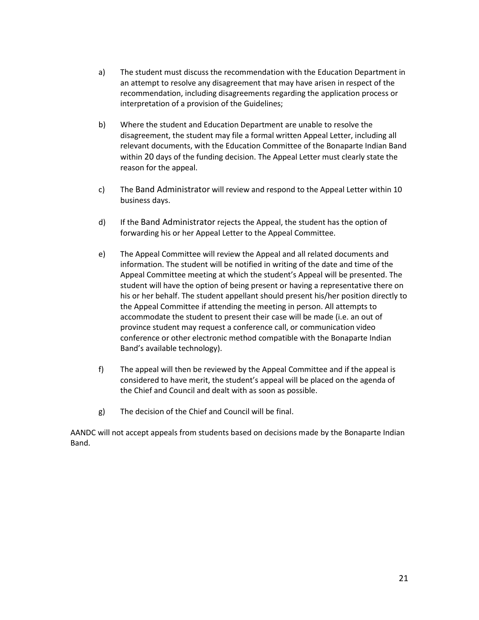- a) The student must discuss the recommendation with the Education Department in an attempt to resolve any disagreement that may have arisen in respect of the recommendation, including disagreements regarding the application process or interpretation of a provision of the Guidelines;
- b) Where the student and Education Department are unable to resolve the disagreement, the student may file a formal written Appeal Letter, including all relevant documents, with the Education Committee of the Bonaparte Indian Band within 20 days of the funding decision. The Appeal Letter must clearly state the reason for the appeal.
- c) The Band Administrator will review and respond to the Appeal Letter within 10 business days.
- d) If the Band Administrator rejects the Appeal, the student has the option of forwarding his or her Appeal Letter to the Appeal Committee.
- e) The Appeal Committee will review the Appeal and all related documents and information. The student will be notified in writing of the date and time of the Appeal Committee meeting at which the student's Appeal will be presented. The student will have the option of being present or having a representative there on his or her behalf. The student appellant should present his/her position directly to the Appeal Committee if attending the meeting in person. All attempts to accommodate the student to present their case will be made (i.e. an out of province student may request a conference call, or communication video conference or other electronic method compatible with the Bonaparte Indian Band's available technology).
- f) The appeal will then be reviewed by the Appeal Committee and if the appeal is considered to have merit, the student's appeal will be placed on the agenda of the Chief and Council and dealt with as soon as possible.
- g) The decision of the Chief and Council will be final.

AANDC will not accept appeals from students based on decisions made by the Bonaparte Indian Band.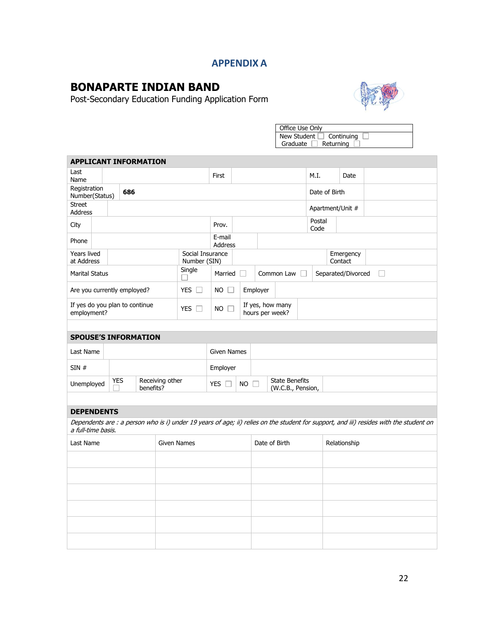# **APPENDIX A**

# **BONAPARTE INDIAN BAND**

Post-Secondary Education Funding Application Form



| Office Use Only |            |  |  |  |  |  |  |
|-----------------|------------|--|--|--|--|--|--|
| New Student     | Continuing |  |  |  |  |  |  |
| Graduate        | Returning  |  |  |  |  |  |  |

| <b>APPLICANT INFORMATION</b>                  |  |            |  |           |                    |                                  |                          |                                                           |                |                                     |              |                  |                      |                                                                                                                                        |  |
|-----------------------------------------------|--|------------|--|-----------|--------------------|----------------------------------|--------------------------|-----------------------------------------------------------|----------------|-------------------------------------|--------------|------------------|----------------------|----------------------------------------------------------------------------------------------------------------------------------------|--|
| Last<br>Name                                  |  |            |  |           |                    |                                  | First                    |                                                           |                |                                     |              | M.I.             | Date                 |                                                                                                                                        |  |
| Registration<br>686<br>Number(Status)         |  |            |  |           |                    |                                  |                          |                                                           | Date of Birth  |                                     |              |                  |                      |                                                                                                                                        |  |
| <b>Street</b><br>Address                      |  |            |  |           |                    |                                  |                          |                                                           |                |                                     |              | Apartment/Unit # |                      |                                                                                                                                        |  |
| City                                          |  |            |  | Prov.     |                    |                                  |                          |                                                           | Postal<br>Code |                                     |              |                  |                      |                                                                                                                                        |  |
| Phone                                         |  |            |  |           |                    |                                  | E-mail<br><b>Address</b> |                                                           |                |                                     |              |                  |                      |                                                                                                                                        |  |
| <b>Years lived</b><br>at Address              |  |            |  |           |                    | Social Insurance<br>Number (SIN) |                          |                                                           |                |                                     |              |                  | Emergency<br>Contact |                                                                                                                                        |  |
| <b>Marital Status</b>                         |  |            |  |           |                    | Single                           | Married                  |                                                           |                | Common Law                          |              |                  | Separated/Divorced   | $\Box$                                                                                                                                 |  |
| Are you currently employed?                   |  |            |  |           |                    | YES $\square$                    | $NO$ $\square$           |                                                           | Employer       |                                     |              |                  |                      |                                                                                                                                        |  |
| If yes do you plan to continue<br>employment? |  |            |  |           |                    | YES $\Box$                       | $NO$ $\Box$              |                                                           |                | If yes, how many<br>hours per week? |              |                  |                      |                                                                                                                                        |  |
|                                               |  |            |  |           |                    |                                  |                          |                                                           |                |                                     |              |                  |                      |                                                                                                                                        |  |
| <b>SPOUSE'S INFORMATION</b>                   |  |            |  |           |                    |                                  |                          |                                                           |                |                                     |              |                  |                      |                                                                                                                                        |  |
| Last Name                                     |  |            |  |           |                    |                                  | <b>Given Names</b>       |                                                           |                |                                     |              |                  |                      |                                                                                                                                        |  |
| SIN#                                          |  |            |  |           |                    |                                  | Employer                 |                                                           |                |                                     |              |                  |                      |                                                                                                                                        |  |
| Unemployed                                    |  | <b>YES</b> |  | benefits? | Receiving other    |                                  | YES $\square$            | <b>State Benefits</b><br>$NO \Gamma$<br>(W.C.B., Pension, |                |                                     |              |                  |                      |                                                                                                                                        |  |
|                                               |  |            |  |           |                    |                                  |                          |                                                           |                |                                     |              |                  |                      |                                                                                                                                        |  |
| <b>DEPENDENTS</b>                             |  |            |  |           |                    |                                  |                          |                                                           |                |                                     |              |                  |                      |                                                                                                                                        |  |
| a full-time basis.                            |  |            |  |           |                    |                                  |                          |                                                           |                |                                     |              |                  |                      | Dependents are : a person who is i) under 19 years of age; ii) relies on the student for support, and iii) resides with the student on |  |
| Last Name                                     |  |            |  |           | <b>Given Names</b> |                                  | Date of Birth            |                                                           |                |                                     | Relationship |                  |                      |                                                                                                                                        |  |
|                                               |  |            |  |           |                    |                                  |                          |                                                           |                |                                     |              |                  |                      |                                                                                                                                        |  |
|                                               |  |            |  |           |                    |                                  |                          |                                                           |                |                                     |              |                  |                      |                                                                                                                                        |  |
|                                               |  |            |  |           |                    |                                  |                          |                                                           |                |                                     |              |                  |                      |                                                                                                                                        |  |
|                                               |  |            |  |           |                    |                                  |                          |                                                           |                |                                     |              |                  |                      |                                                                                                                                        |  |
|                                               |  |            |  |           |                    |                                  |                          |                                                           |                |                                     |              |                  |                      |                                                                                                                                        |  |
|                                               |  |            |  |           |                    |                                  |                          |                                                           |                |                                     |              |                  |                      |                                                                                                                                        |  |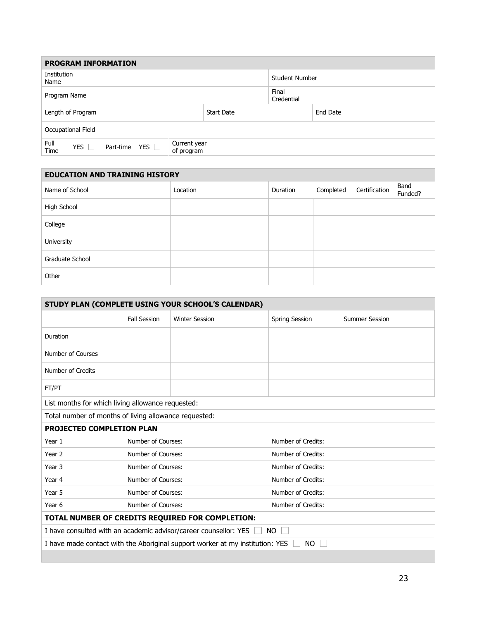| <b>PROGRAM INFORMATION</b>                                                                          |                       |                     |          |  |  |  |  |
|-----------------------------------------------------------------------------------------------------|-----------------------|---------------------|----------|--|--|--|--|
| Institution<br>Name                                                                                 | <b>Student Number</b> |                     |          |  |  |  |  |
| Program Name                                                                                        |                       | Final<br>Credential |          |  |  |  |  |
| Length of Program                                                                                   | <b>Start Date</b>     |                     | End Date |  |  |  |  |
| Occupational Field                                                                                  |                       |                     |          |  |  |  |  |
| Full<br>Current year<br>YES $\Box$<br><b>YES</b><br>Part-time<br>$\mathbf{1}$<br>Time<br>of program |                       |                     |          |  |  |  |  |

| <b>EDUCATION AND TRAINING HISTORY</b> |          |          |           |               |                 |  |  |
|---------------------------------------|----------|----------|-----------|---------------|-----------------|--|--|
| Name of School                        | Location | Duration | Completed | Certification | Band<br>Funded? |  |  |
| High School                           |          |          |           |               |                 |  |  |
| College                               |          |          |           |               |                 |  |  |
| University                            |          |          |           |               |                 |  |  |
| Graduate School                       |          |          |           |               |                 |  |  |
| Other                                 |          |          |           |               |                 |  |  |

| STUDY PLAN (COMPLETE USING YOUR SCHOOL'S CALENDAR)    |                                          |                                                                               |                     |                       |  |  |  |
|-------------------------------------------------------|------------------------------------------|-------------------------------------------------------------------------------|---------------------|-----------------------|--|--|--|
|                                                       | <b>Fall Session</b>                      | <b>Winter Session</b>                                                         | Spring Session      | <b>Summer Session</b> |  |  |  |
| Duration                                              |                                          |                                                                               |                     |                       |  |  |  |
| Number of Courses                                     |                                          |                                                                               |                     |                       |  |  |  |
| Number of Credits                                     |                                          |                                                                               |                     |                       |  |  |  |
| FT/PT                                                 |                                          |                                                                               |                     |                       |  |  |  |
| List months for which living allowance requested:     |                                          |                                                                               |                     |                       |  |  |  |
| Total number of months of living allowance requested: |                                          |                                                                               |                     |                       |  |  |  |
| <b>PROJECTED COMPLETION PLAN</b>                      |                                          |                                                                               |                     |                       |  |  |  |
| Year 1                                                | Number of Courses:                       |                                                                               | Number of Credits:  |                       |  |  |  |
| Year 2                                                | Number of Courses:                       |                                                                               | Number of Credits:  |                       |  |  |  |
| Year 3                                                | Number of Courses:                       |                                                                               |                     |                       |  |  |  |
| Year 4                                                | Number of Courses:                       |                                                                               | Number of Credits:  |                       |  |  |  |
| Year 5                                                | Number of Courses:<br>Number of Credits: |                                                                               |                     |                       |  |  |  |
| Year 6                                                | Number of Courses:                       |                                                                               | Number of Credits:  |                       |  |  |  |
| TOTAL NUMBER OF CREDITS REQUIRED FOR COMPLETION:      |                                          |                                                                               |                     |                       |  |  |  |
|                                                       |                                          | I have consulted with an academic advisor/career counsellor: YES              | NO.<br>$\mathbf{L}$ |                       |  |  |  |
|                                                       |                                          | I have made contact with the Aboriginal support worker at my institution: YES | NO.                 |                       |  |  |  |
|                                                       |                                          |                                                                               |                     |                       |  |  |  |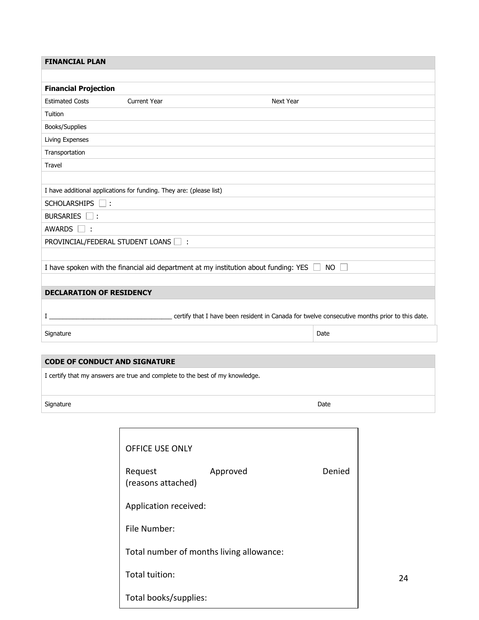| <b>FINANCIAL PLAN</b>                                               |                     |                                                                                                                     |
|---------------------------------------------------------------------|---------------------|---------------------------------------------------------------------------------------------------------------------|
|                                                                     |                     |                                                                                                                     |
| <b>Financial Projection</b>                                         |                     |                                                                                                                     |
| <b>Estimated Costs</b>                                              | <b>Current Year</b> | <b>Next Year</b>                                                                                                    |
| Tuition                                                             |                     |                                                                                                                     |
| Books/Supplies                                                      |                     |                                                                                                                     |
| Living Expenses                                                     |                     |                                                                                                                     |
| Transportation                                                      |                     |                                                                                                                     |
| Travel                                                              |                     |                                                                                                                     |
|                                                                     |                     |                                                                                                                     |
| I have additional applications for funding. They are: (please list) |                     |                                                                                                                     |
| SCHOLARSHIPS                                                        |                     |                                                                                                                     |
| BURSARIES <b>F</b> :                                                |                     |                                                                                                                     |
| <b>AWARDS</b><br>- 1 :                                              |                     |                                                                                                                     |
| PROVINCIAL/FEDERAL STUDENT LOANS                                    | $\Box$ :            |                                                                                                                     |
|                                                                     |                     |                                                                                                                     |
|                                                                     |                     | I have spoken with the financial aid department at my institution about funding: YES I<br><b>NO</b><br>$\mathbf{I}$ |
|                                                                     |                     |                                                                                                                     |
| <b>DECLARATION OF RESIDENCY</b>                                     |                     |                                                                                                                     |
|                                                                     |                     |                                                                                                                     |
| L                                                                   |                     | certify that I have been resident in Canada for twelve consecutive months prior to this date.                       |
| Signature                                                           |                     | Date                                                                                                                |
|                                                                     |                     |                                                                                                                     |

# **CODE OF CONDUCT AND SIGNATURE**

I certify that my answers are true and complete to the best of my knowledge.

Signature Date Date of the Signature Date of the Signature Date of the Date of the Date of the Date of the Date of the Date of the Date of the Date of the Date of the Date of the Date of the Date of the Date of the Date of

24

| <b>OFFICE USE ONLY</b>                   |          |        |  |  |  |  |  |
|------------------------------------------|----------|--------|--|--|--|--|--|
| Request<br>(reasons attached)            | Approved | Denied |  |  |  |  |  |
| Application received:                    |          |        |  |  |  |  |  |
| File Number:                             |          |        |  |  |  |  |  |
| Total number of months living allowance: |          |        |  |  |  |  |  |
| Total tuition:                           |          |        |  |  |  |  |  |
| Total books/supplies:                    |          |        |  |  |  |  |  |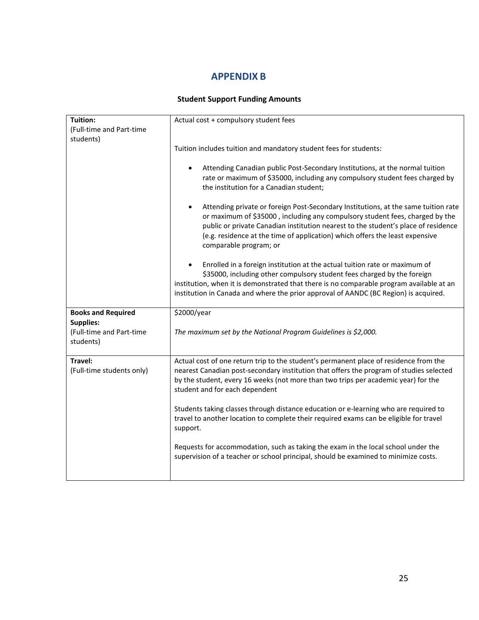# **APPENDIX B**

#### **Student Support Funding Amounts**

| Actual cost + compulsory student fees                                                                                                                                                                                                                                                                                                                                           |  |  |  |  |
|---------------------------------------------------------------------------------------------------------------------------------------------------------------------------------------------------------------------------------------------------------------------------------------------------------------------------------------------------------------------------------|--|--|--|--|
|                                                                                                                                                                                                                                                                                                                                                                                 |  |  |  |  |
| Tuition includes tuition and mandatory student fees for students:                                                                                                                                                                                                                                                                                                               |  |  |  |  |
| Attending Canadian public Post-Secondary Institutions, at the normal tuition<br>$\bullet$<br>rate or maximum of \$35000, including any compulsory student fees charged by<br>the institution for a Canadian student;                                                                                                                                                            |  |  |  |  |
| Attending private or foreign Post-Secondary Institutions, at the same tuition rate<br>$\bullet$<br>or maximum of \$35000, including any compulsory student fees, charged by the<br>public or private Canadian institution nearest to the student's place of residence<br>(e.g. residence at the time of application) which offers the least expensive<br>comparable program; or |  |  |  |  |
| Enrolled in a foreign institution at the actual tuition rate or maximum of<br>$\bullet$<br>\$35000, including other compulsory student fees charged by the foreign<br>institution, when it is demonstrated that there is no comparable program available at an<br>institution in Canada and where the prior approval of AANDC (BC Region) is acquired.                          |  |  |  |  |
| \$2000/year                                                                                                                                                                                                                                                                                                                                                                     |  |  |  |  |
| The maximum set by the National Program Guidelines is \$2,000.                                                                                                                                                                                                                                                                                                                  |  |  |  |  |
| Actual cost of one return trip to the student's permanent place of residence from the<br>nearest Canadian post-secondary institution that offers the program of studies selected<br>by the student, every 16 weeks (not more than two trips per academic year) for the<br>student and for each dependent                                                                        |  |  |  |  |
| Students taking classes through distance education or e-learning who are required to<br>travel to another location to complete their required exams can be eligible for travel<br>support.                                                                                                                                                                                      |  |  |  |  |
| Requests for accommodation, such as taking the exam in the local school under the<br>supervision of a teacher or school principal, should be examined to minimize costs.                                                                                                                                                                                                        |  |  |  |  |
|                                                                                                                                                                                                                                                                                                                                                                                 |  |  |  |  |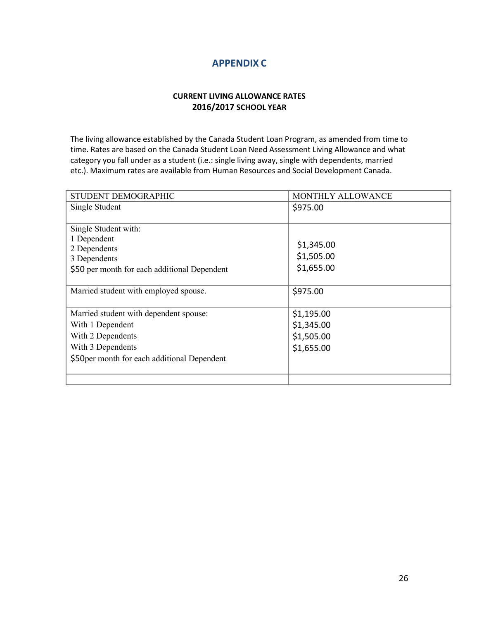# **APPENDIX C**

#### **CURRENT LIVING ALLOWANCE RATES 2016/2017 SCHOOL YEAR**

The living allowance established by the Canada Student Loan Program, as amended from time to time. Rates are based on the Canada Student Loan Need Assessment Living Allowance and what category you fall under as a student (i.e.: single living away, single with dependents, married etc.). Maximum rates are available from Human Resources and Social Development Canada.

| STUDENT DEMOGRAPHIC                          | MONTHLY ALLOWANCE |
|----------------------------------------------|-------------------|
| Single Student                               | \$975.00          |
|                                              |                   |
| Single Student with:                         |                   |
| 1 Dependent                                  | \$1,345.00        |
| 2 Dependents<br>3 Dependents                 | \$1,505.00        |
| \$50 per month for each additional Dependent | \$1,655.00        |
|                                              |                   |
| Married student with employed spouse.        | \$975.00          |
|                                              |                   |
| Married student with dependent spouse:       | \$1,195.00        |
| With 1 Dependent                             | \$1,345.00        |
| With 2 Dependents                            | \$1,505.00        |
| With 3 Dependents                            | \$1,655.00        |
| \$50 per month for each additional Dependent |                   |
|                                              |                   |
|                                              |                   |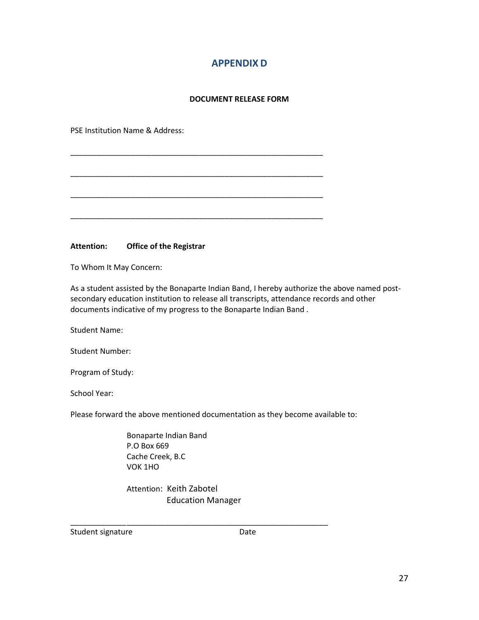# **APPENDIX D**

#### **DOCUMENT RELEASE FORM**

\_\_\_\_\_\_\_\_\_\_\_\_\_\_\_\_\_\_\_\_\_\_\_\_\_\_\_\_\_\_\_\_\_\_\_\_\_\_\_\_\_\_\_\_\_\_\_\_\_\_\_\_\_\_\_\_\_\_\_

\_\_\_\_\_\_\_\_\_\_\_\_\_\_\_\_\_\_\_\_\_\_\_\_\_\_\_\_\_\_\_\_\_\_\_\_\_\_\_\_\_\_\_\_\_\_\_\_\_\_\_\_\_\_\_\_\_\_\_

\_\_\_\_\_\_\_\_\_\_\_\_\_\_\_\_\_\_\_\_\_\_\_\_\_\_\_\_\_\_\_\_\_\_\_\_\_\_\_\_\_\_\_\_\_\_\_\_\_\_\_\_\_\_\_\_\_\_\_

\_\_\_\_\_\_\_\_\_\_\_\_\_\_\_\_\_\_\_\_\_\_\_\_\_\_\_\_\_\_\_\_\_\_\_\_\_\_\_\_\_\_\_\_\_\_\_\_\_\_\_\_\_\_\_\_\_\_\_

PSE Institution Name & Address:

**Attention: Office of the Registrar**

To Whom It May Concern:

As a student assisted by the Bonaparte Indian Band, I hereby authorize the above named postsecondary education institution to release all transcripts, attendance records and other documents indicative of my progress to the Bonaparte Indian Band .

Student Name:

Student Number:

Program of Study:

School Year:

Please forward the above mentioned documentation as they become available to:

Bonaparte Indian Band P.O Box 669 Cache Creek, B.C VOK 1HO

Attention: Keith Zabotel Education Manager

\_\_\_\_\_\_\_\_\_\_\_\_\_\_\_\_\_\_\_\_\_\_\_\_\_\_\_\_\_\_\_\_\_\_\_\_\_\_\_\_\_\_\_\_\_\_\_\_\_\_\_\_\_\_\_\_\_\_\_\_

Student signature Date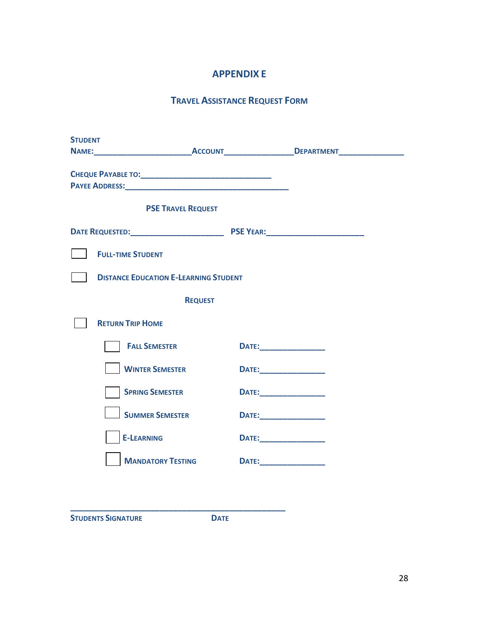# **APPENDIX E**

# **TRAVEL ASSISTANCE REQUEST FORM**

| <b>STUDENT</b> |                                              |                                                                                               |
|----------------|----------------------------------------------|-----------------------------------------------------------------------------------------------|
|                |                                              | NAME:_________________________________ACCOUNT____________________DEPARTMENT__________________ |
|                |                                              |                                                                                               |
|                | <b>PSE TRAVEL REQUEST</b>                    |                                                                                               |
|                |                                              |                                                                                               |
|                | <b>FULL-TIME STUDENT</b>                     |                                                                                               |
|                | <b>DISTANCE EDUCATION E-LEARNING STUDENT</b> |                                                                                               |
|                | <b>REQUEST</b>                               |                                                                                               |
|                | <b>RETURN TRIP HOME</b>                      |                                                                                               |
|                | <b>FALL SEMESTER</b>                         | <b>DATE:_________________________</b>                                                         |
|                | <b>WINTER SEMESTER</b>                       | <b>DATE:________________________</b>                                                          |
|                | <b>SPRING SEMESTER</b>                       | <b>DATE:___________________</b>                                                               |
|                | <b>SUMMER SEMESTER</b>                       |                                                                                               |
|                | <b>E-LEARNING</b>                            | <b>DATE:___________________</b>                                                               |
|                | <b>MANDATORY TESTING</b>                     |                                                                                               |
|                |                                              |                                                                                               |
|                |                                              |                                                                                               |

**STUDENTS SIGNATURE DATE**